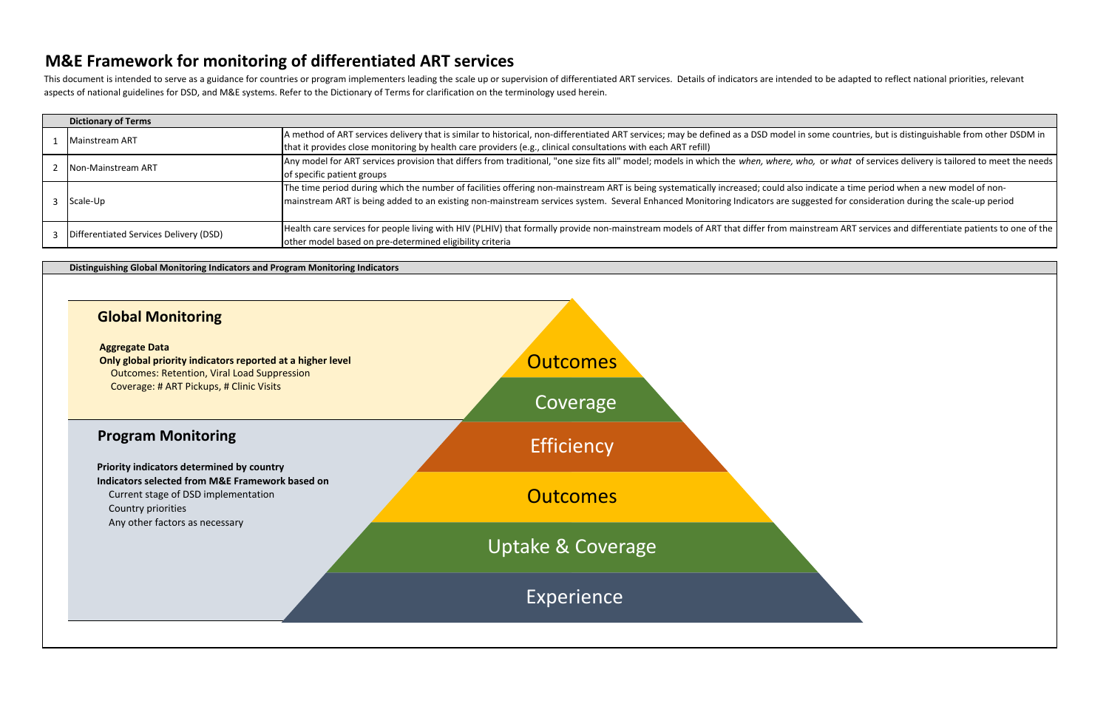**Distinguishing Global Monitoring Indicators and Program Monitoring Indicators**

| <b>Dictionary of Terms</b>             |                                                                                                                                       |
|----------------------------------------|---------------------------------------------------------------------------------------------------------------------------------------|
|                                        | A method of ART services delivery that is similar to historical, non-differentiated ART services; may be defined as a DSD model in so |
| Mainstream ART                         | that it provides close monitoring by health care providers (e.g., clinical consultations with each ART refill)                        |
| <b>INon-Mainstream ART</b>             | Any model for ART services provision that differs from traditional, "one size fits all" model; models in which the when, where, who,  |
|                                        | of specific patient groups                                                                                                            |
|                                        | The time period during which the number of facilities offering non-mainstream ART is being systematically increased; could also ine   |
| Scale-Up                               | mainstream ART is being added to an existing non-mainstream services system. Several Enhanced Monitoring Indicators are sugge         |
|                                        |                                                                                                                                       |
| Differentiated Services Delivery (DSD) | Health care services for people living with HIV (PLHIV) that formally provide non-mainstream models of ART that differ from mainst    |
|                                        | other model based on pre-determined eligibility criteria                                                                              |

This document is intended to serve as a guidance for countries or program implementers leading the scale up or supervision of differentiated ART services. Details of indicators are intended to be adapted to reflect nationa aspects of national guidelines for DSD, and M&E systems. Refer to the Dictionary of Terms for clarification on the terminology used herein.

# Outcomes: Retention, Viral Load Suppression Current stage of DSD implementation Country priorities Any other factors as necessary **Global Monitoring Aggregate Data Only global priority indicators reported at a higher level** Coverage: # ART Pickups, # Clinic Visits **Program Monitoring Priority indicators determined by country Indicators selected from M&E Framework based on Outcomes** Coverage **Efficiency Outcomes** Uptake & Coverage Experience

ome countries, but is distinguishable from other DSDM in

or what of services delivery is tailored to meet the needs

dicate a time period when a new model of nonested for consideration during the scale-up period

tream ART services and differentiate patients to one of the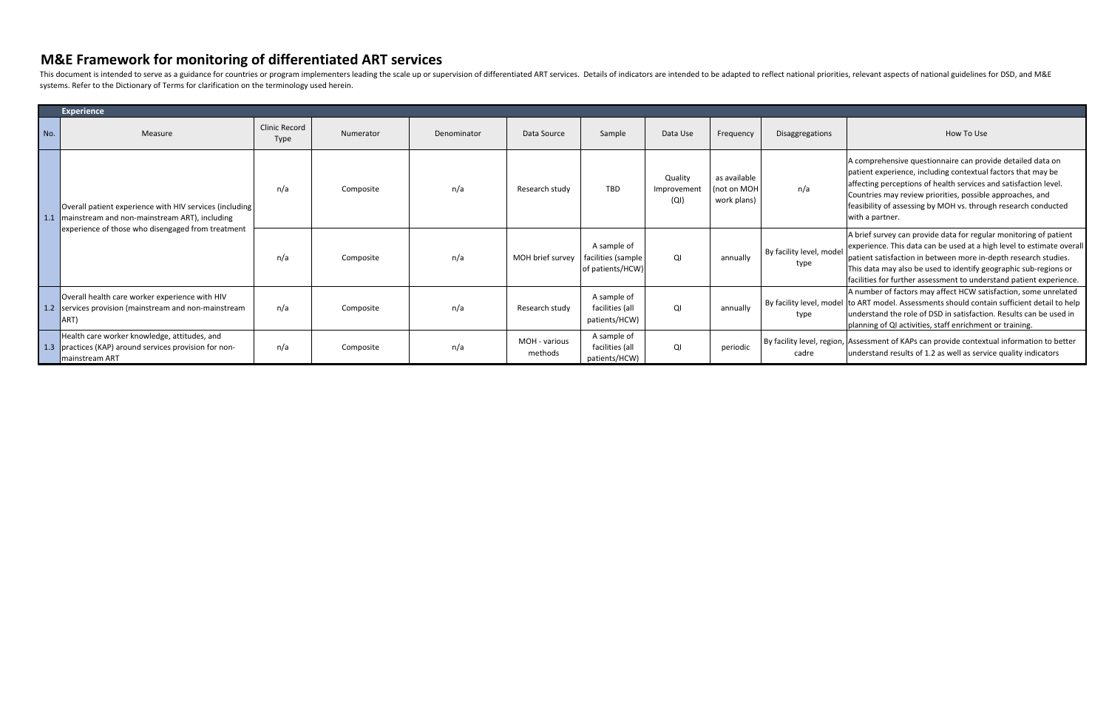|     | <b>Experience</b>                                                                                                                                                 |                                     |           |             |                          |                                                       |                               |                                            |                                  |                                                                                                                                                                                                                                                                                                                                                          |
|-----|-------------------------------------------------------------------------------------------------------------------------------------------------------------------|-------------------------------------|-----------|-------------|--------------------------|-------------------------------------------------------|-------------------------------|--------------------------------------------|----------------------------------|----------------------------------------------------------------------------------------------------------------------------------------------------------------------------------------------------------------------------------------------------------------------------------------------------------------------------------------------------------|
| No. | Measure                                                                                                                                                           | <b>Clinic Record</b><br><b>Type</b> | Numerator | Denominator | Data Source              | Sample                                                | Data Use                      | Frequency                                  | Disaggregations                  | How To Use                                                                                                                                                                                                                                                                                                                                               |
|     | Overall patient experience with HIV services (including<br>1.1 mainstream and non-mainstream ART), including<br>experience of those who disengaged from treatment | n/a                                 | Composite | n/a         | Research study           | <b>TBD</b>                                            | Quality<br>Improvemen<br>(QI) | as available<br>(not on MOH<br>work plans) | n/a                              | A comprehensive questionnaire can provide detailed data on<br>patient experience, including contextual factors that may be<br>affecting perceptions of health services and satisfaction level.<br>Countries may review priorities, possible approaches, and<br>feasibility of assessing by MOH vs. through research conducted<br>with a partner.         |
|     |                                                                                                                                                                   | n/a                                 | Composite | n/a         | MOH brief survey         | A sample of<br>facilities (sample<br>of patients/HCW) | QI                            | annually                                   | By facility level, model<br>type | A brief survey can provide data for regular monitoring of patient<br>experience. This data can be used at a high level to estimate overall<br>patient satisfaction in between more in-depth research studies.<br>This data may also be used to identify geographic sub-regions or<br>facilities for further assessment to understand patient experience. |
|     | Overall health care worker experience with HIV<br>1.2 services provision (mainstream and non-mainstream<br>ART)                                                   | n/a                                 | Composite | n/a         | Research study           | A sample of<br>facilities (all<br>patients/HCW)       | QI                            | annually                                   | type                             | A number of factors may affect HCW satisfaction, some unrelated<br>By facility level, model to ART model. Assessments should contain sufficient detail to help<br>lunderstand the role of DSD in satisfaction. Results can be used in<br>planning of QI activities, staff enrichment or training.                                                        |
|     | Health care worker knowledge, attitudes, and<br>1.3 practices (KAP) around services provision for non-<br><b>Imainstream ART</b>                                  | n/a                                 | Composite | n/a         | MOH - various<br>methods | A sample of<br>facilities (all<br>patients/HCW)       | QI                            | periodic                                   | cadre                            | By facility level, region, Assessment of KAPs can provide contextual information to better<br>understand results of 1.2 as well as service quality indicators                                                                                                                                                                                            |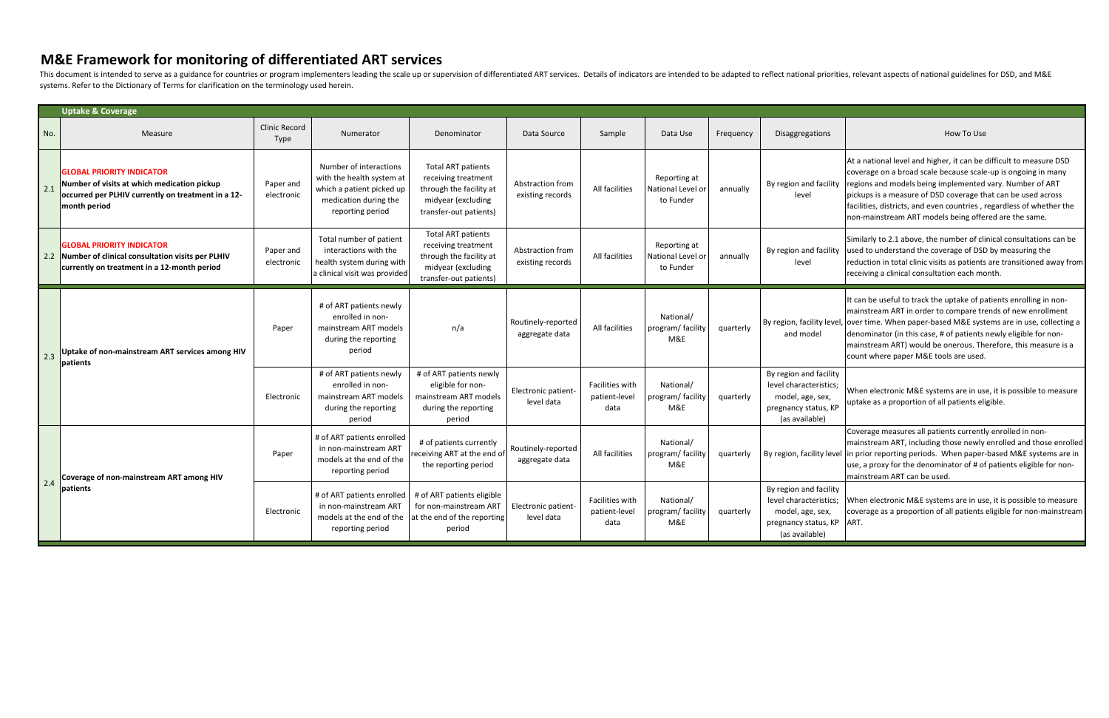|     | <b>Uptake &amp; Coverage</b>                                                                                                                          |                                     |                                                                                                                               |                                                                                                                             |                                      |                                          |                                                |           |                                                                                                                |                                                                                                                                                                                                                                                                                                                                                                                                                 |
|-----|-------------------------------------------------------------------------------------------------------------------------------------------------------|-------------------------------------|-------------------------------------------------------------------------------------------------------------------------------|-----------------------------------------------------------------------------------------------------------------------------|--------------------------------------|------------------------------------------|------------------------------------------------|-----------|----------------------------------------------------------------------------------------------------------------|-----------------------------------------------------------------------------------------------------------------------------------------------------------------------------------------------------------------------------------------------------------------------------------------------------------------------------------------------------------------------------------------------------------------|
| No. | Measure                                                                                                                                               | <b>Clinic Record</b><br><b>Type</b> | Numerator                                                                                                                     | Denominator                                                                                                                 | Data Source                          | Sample                                   | Data Use                                       | Frequency | <b>Disaggregations</b>                                                                                         | How To Use                                                                                                                                                                                                                                                                                                                                                                                                      |
| 2.1 | <b>GLOBAL PRIORITY INDICATOR</b><br>Number of visits at which medication pickup<br>occurred per PLHIV currently on treatment in a 12-<br>month period | Paper and<br>electronic             | Number of interactions<br>with the health system at<br>which a patient picked up<br>medication during the<br>reporting period | <b>Total ART patients</b><br>receiving treatment<br>through the facility at<br>midyear (excluding<br>transfer-out patients) | Abstraction from<br>existing records | All facilities                           | Reporting at<br>National Level or<br>to Funder | annually  | By region and facility<br>level                                                                                | At a national level and higher, it can be difficult to measure DSD<br>coverage on a broad scale because scale-up is ongoing in many<br>regions and models being implemented vary. Number of ART<br>pickups is a measure of DSD coverage that can be used across<br>facilities, districts, and even countries, regardless of whether the<br>non-mainstream ART models being offered are the same.                |
|     | <b>GLOBAL PRIORITY INDICATOR</b><br>Number of clinical consultation visits per PLHIV<br>currently on treatment in a 12-month period                   | Paper and<br>electronic             | Total number of patient<br>interactions with the<br>health system during with<br>a clinical visit was provided                | <b>Total ART patients</b><br>receiving treatment<br>through the facility at<br>midyear (excluding<br>transfer-out patients) | Abstraction from<br>existing records | All facilities                           | Reporting at<br>National Level or<br>to Funder | annually  | By region and facility<br>level                                                                                | Similarly to 2.1 above, the number of clinical consultations can be<br>used to understand the coverage of DSD by measuring the<br>reduction in total clinic visits as patients are transitioned away from<br>receiving a clinical consultation each month.                                                                                                                                                      |
| 2.3 | Uptake of non-mainstream ART services among HIV<br>patients                                                                                           | Paper                               | # of ART patients newly<br>enrolled in non-<br>mainstream ART models<br>during the reporting<br>period                        | n/a                                                                                                                         | Routinely-reported<br>aggregate data | All facilities                           | National/<br>program/ facility<br>M&E          | quarterly | and model                                                                                                      | It can be useful to track the uptake of patients enrolling in non-<br>mainstream ART in order to compare trends of new enrollment<br>By region, facility level, over time. When paper-based M&E systems are in use, collecting a<br>denominator (in this case, # of patients newly eligible for non-<br>mainstream ART) would be onerous. Therefore, this measure is a<br>count where paper M&E tools are used. |
|     |                                                                                                                                                       | Electronic                          | # of ART patients newly<br>enrolled in non-<br>mainstream ART models<br>during the reporting<br>period                        | # of ART patients newly<br>eligible for non-<br>mainstream ART models<br>during the reporting<br>period                     | Electronic patient-<br>level data    | Facilities with<br>patient-level<br>data | National/<br>program/facility<br>M&E           | quarterly | By region and facility<br>level characteristics;<br>model, age, sex,<br>pregnancy status, KP<br>(as available) | When electronic M&E systems are in use, it is possible to measure<br>uptake as a proportion of all patients eligible.                                                                                                                                                                                                                                                                                           |
| 2.4 | Coverage of non-mainstream ART among HIV<br>patients                                                                                                  | Paper                               | # of ART patients enrolled<br>in non-mainstream ART<br>models at the end of the<br>reporting period                           | # of patients currently<br>receiving ART at the end of<br>the reporting period                                              | Routinely-reported<br>aggregate data | All facilities                           | National/<br>program/ facility<br>M&E          | quarterly |                                                                                                                | Coverage measures all patients currently enrolled in non-<br>mainstream ART, including those newly enrolled and those enrolled<br>By region, facility level in prior reporting periods. When paper-based M&E systems are in<br>use, a proxy for the denominator of # of patients eligible for non-<br>mainstream ART can be used.                                                                               |
|     |                                                                                                                                                       | Electronic                          | # of ART patients enrolled<br>in non-mainstream ART<br>models at the end of the<br>reporting period                           | # of ART patients eligible<br>for non-mainstream ART<br>at the end of the reporting<br>period                               | Electronic patient-<br>level data    | Facilities with<br>patient-level<br>data | National/<br>program/facility<br>M&E           | quarterly | By region and facility<br>level characteristics;<br>model, age, sex,<br>pregnancy status, KP<br>(as available) | When electronic M&E systems are in use, it is possible to measure<br>coverage as a proportion of all patients eligible for non-mainstream<br>ART.                                                                                                                                                                                                                                                               |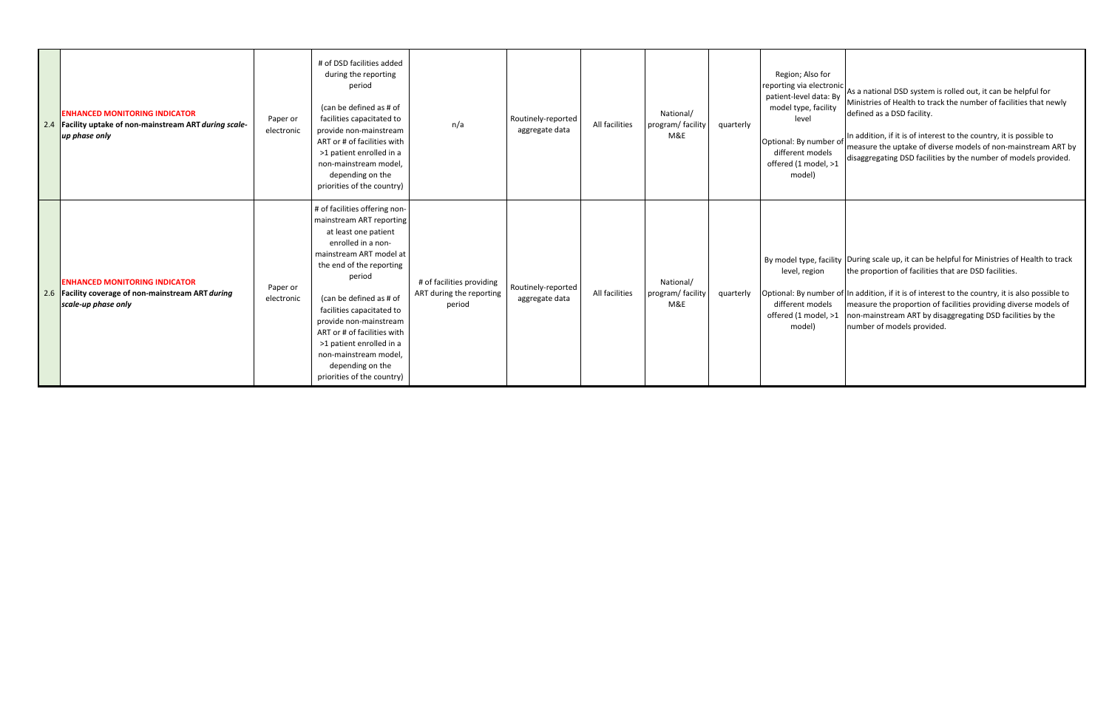| <b>ENHANCED MONITORING INDICATOR</b><br>2.4 Facility uptake of non-mainstream ART during scale-<br>up phase only  | Paper or<br>electronic | # of DSD facilities added<br>during the reporting<br>period<br>(can be defined as # of<br>facilities capacitated to<br>provide non-mainstream<br>ART or # of facilities with<br>>1 patient enrolled in a<br>non-mainstream model.<br>depending on the<br>priorities of the country)                                                                                                              | n/a                                                             | Routinely-reported<br>aggregate data | All facilities | National/<br>program/facility<br>M&E | quarterly | Region; Also for<br>patient-level data: By<br>model type, facility<br>level<br>Optional: By number of<br>different models<br>offered (1 model, >1<br>model) | reporting via electronic As a national DSD system is rolled out, it can be helpful for<br>Ministries of Health to track the number of facilities that newly<br>defined as a DSD facility.<br>In addition, if it is of interest to the country, it is possible to<br>measure the uptake of diverse models of non-mainstream ART by<br>disaggregating DSD facilities by the number of models provided.                     |
|-------------------------------------------------------------------------------------------------------------------|------------------------|--------------------------------------------------------------------------------------------------------------------------------------------------------------------------------------------------------------------------------------------------------------------------------------------------------------------------------------------------------------------------------------------------|-----------------------------------------------------------------|--------------------------------------|----------------|--------------------------------------|-----------|-------------------------------------------------------------------------------------------------------------------------------------------------------------|--------------------------------------------------------------------------------------------------------------------------------------------------------------------------------------------------------------------------------------------------------------------------------------------------------------------------------------------------------------------------------------------------------------------------|
| <b>ENHANCED MONITORING INDICATOR</b><br>2.6 Facility coverage of non-mainstream ART during<br>scale-up phase only | Paper or<br>electronic | # of facilities offering non-<br>mainstream ART reporting<br>at least one patient<br>enrolled in a non-<br>mainstream ART model at<br>the end of the reporting<br>period<br>(can be defined as # of<br>facilities capacitated to<br>provide non-mainstream<br>ART or # of facilities with<br>>1 patient enrolled in a<br>non-mainstream model,<br>depending on the<br>priorities of the country) | # of facilities providing<br>ART during the reporting<br>period | Routinely-reported<br>aggregate data | All facilities | National/<br>program/facility<br>M&E | quarterly | level, region<br>different models<br>offered (1 model, >1<br>model)                                                                                         | By model type, facility During scale up, it can be helpful for Ministries of Health to track<br>the proportion of facilities that are DSD facilities.<br>Optional: By number of In addition, if it is of interest to the country, it is also possible to<br>measure the proportion of facilities providing diverse models of<br>non-mainstream ART by disaggregating DSD facilities by the<br>number of models provided. |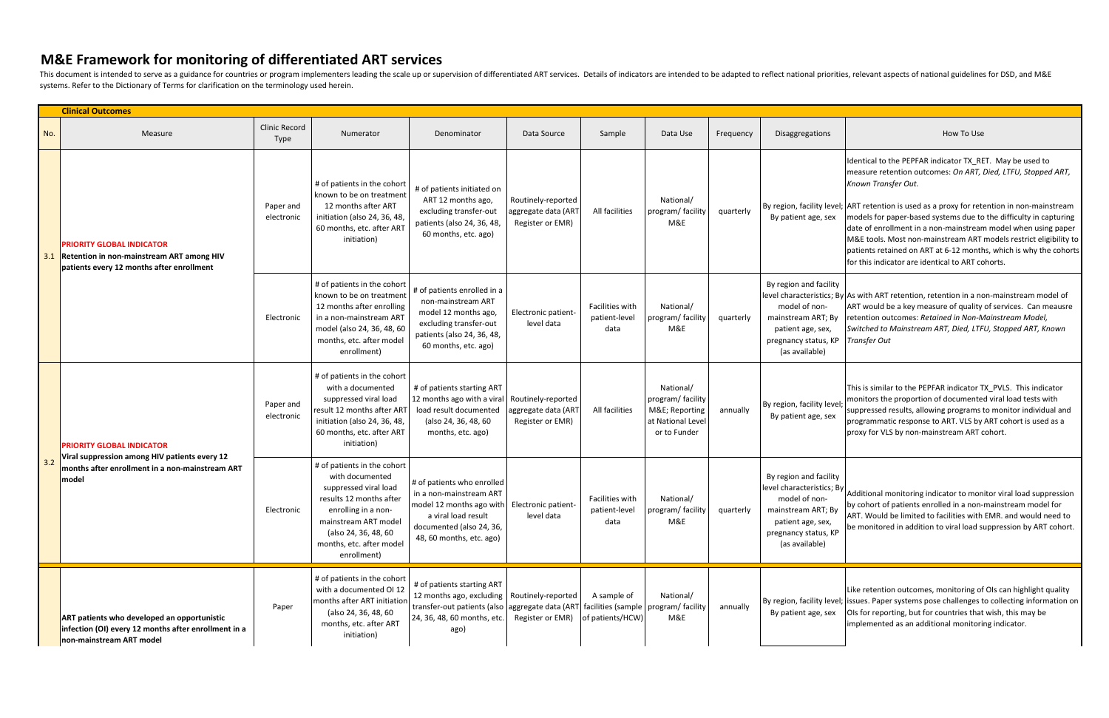|     | <b>Clinical Outcomes</b>                                                                                                               |                              |                                                                                                                                                                                                                      |                                                                                                                                                                                                              |                                                               |                                          |                                                                                     |           |                                                                                                                              |                                                                                                                                                                                                                                                                                                                                                                                                                                                                                                                                                                                    |  |
|-----|----------------------------------------------------------------------------------------------------------------------------------------|------------------------------|----------------------------------------------------------------------------------------------------------------------------------------------------------------------------------------------------------------------|--------------------------------------------------------------------------------------------------------------------------------------------------------------------------------------------------------------|---------------------------------------------------------------|------------------------------------------|-------------------------------------------------------------------------------------|-----------|------------------------------------------------------------------------------------------------------------------------------|------------------------------------------------------------------------------------------------------------------------------------------------------------------------------------------------------------------------------------------------------------------------------------------------------------------------------------------------------------------------------------------------------------------------------------------------------------------------------------------------------------------------------------------------------------------------------------|--|
| No. | Measure                                                                                                                                | <b>Clinic Record</b><br>Type | Numerator                                                                                                                                                                                                            | Denominator                                                                                                                                                                                                  | Data Source                                                   | Sample                                   | Data Use                                                                            | Frequency | Disaggregations                                                                                                              | How To Use                                                                                                                                                                                                                                                                                                                                                                                                                                                                                                                                                                         |  |
| 3.1 | <b>PRIORITY GLOBAL INDICATOR</b><br><b>Retention in non-mainstream ART among HIV</b><br>patients every 12 months after enrollment      | Paper and<br>electronic      | # of patients in the cohort<br>known to be on treatment<br>12 months after ART<br>initiation (also 24, 36, 48,<br>60 months, etc. after ART<br>initiation)                                                           | # of patients initiated on<br>ART 12 months ago,<br>excluding transfer-out<br>patients (also 24, 36, 48,<br>60 months, etc. ago)                                                                             | Routinely-reported<br>aggregate data (ART<br>Register or EMR) | All facilities                           | National/<br>program/facility<br>M&E                                                | quarterly | By patient age, sex                                                                                                          | Identical to the PEPFAR indicator TX_RET. May be used to<br>measure retention outcomes: On ART, Died, LTFU, Stopped ART,<br>Known Transfer Out.<br>By region, facility level; ART retention is used as a proxy for retention in non-mainstream<br>models for paper-based systems due to the difficulty in capturing<br>date of enrollment in a non-mainstream model when using paper<br>M&E tools. Most non-mainstream ART models restrict eligibility to<br>patients retained on ART at 6-12 months, which is why the cohorts<br>for this indicator are identical to ART cohorts. |  |
|     |                                                                                                                                        | Electronic                   | # of patients in the cohort<br>known to be on treatment<br>12 months after enrolling<br>in a non-mainstream ART<br>model (also 24, 36, 48, 60<br>months, etc. after model<br>enrollment)                             | # of patients enrolled in a<br>non-mainstream ART<br>model 12 months ago,<br>excluding transfer-out<br>patients (also 24, 36, 48,<br>60 months, etc. ago)                                                    | Electronic patient-<br>level data                             | Facilities with<br>patient-level<br>data | National/<br>program/ facility<br>M&E                                               | quarterly | By region and facility<br>model of non-<br>mainstream ART; By<br>patient age, sex,<br>pregnancy status, KP<br>(as available) | level characteristics; By As with ART retention, retention in a non-mainstream model of<br>ART would be a key measure of quality of services. Can meausre<br>retention outcomes: Retained in Non-Mainstream Model,<br>Switched to Mainstream ART, Died, LTFU, Stopped ART, Known<br><b>Transfer Out</b>                                                                                                                                                                                                                                                                            |  |
| 3.2 | PRIORITY GLOBAL INDICATOR<br>Viral suppression among HIV patients every 12<br>months after enrollment in a non-mainstream ART<br>model | Paper and<br>electronic      | # of patients in the cohort<br>with a documented<br>suppressed viral load<br>result 12 months after ART<br>initiation (also 24, 36, 48,<br>60 months, etc. after ART<br>initiation)                                  | # of patients starting ART<br>12 months ago with a viral Routinely-reported<br>load result documented<br>(also 24, 36, 48, 60<br>months, etc. ago)                                                           | aggregate data (ART<br>Register or EMR)                       | All facilities                           | National/<br>program/facility<br>M&E Reporting<br>at National Level<br>or to Funder | annually  | By region, facility level;<br>By patient age, sex                                                                            | This is similar to the PEPFAR indicator TX_PVLS. This indicator<br>monitors the proportion of documented viral load tests with<br>suppressed results, allowing programs to monitor individual and<br>programmatic response to ART. VLS by ART cohort is used as a<br>proxy for VLS by non-mainstream ART cohort.                                                                                                                                                                                                                                                                   |  |
|     |                                                                                                                                        | Electronic                   | # of patients in the cohort<br>with documented<br>suppressed viral load<br>results 12 months after<br>enrolling in a non-<br>mainstream ART model<br>(also 24, 36, 48, 60<br>months, etc. after model<br>enrollment) | # of patients who enrolled<br>in a non-mainstream ART<br>model 12 months ago with Electronic patient-<br>a viral load result<br>documented (also 24, 36,<br>48, 60 months, etc. ago)                         | level data                                                    | Facilities with<br>patient-level<br>data | National/<br>program/facility quarterly<br>M&E                                      |           | By region and facility<br>patient age, sex,<br>pregnancy status, KP<br>(as available)                                        | $\mu$ level characteristics; By $\mu$ Additional monitoring indicator to monitor viral load suppression<br>by cohort of patients enrolled in a non-mainstream model for<br>mainstream ART; By<br>ART. Would be limited to facilities with EMR. and would need to<br>be monitored in addition to viral load suppression by ART cohort.                                                                                                                                                                                                                                              |  |
|     | ART patients who developed an opportunistic<br>infection (OI) every 12 months after enrollment in a<br>non-mainstream ART model        | Paper                        | # of patients in the cohort<br>with a documented OI 12<br>months after ART initiatior<br>(also 24, 36, 48, 60<br>months, etc. after ART<br>initiation)                                                               | # of patients starting ART<br>12 months ago, excluding   Routinely-reported<br>transfer-out patients (also aggregate data (ART facilities (sample   program/ facility<br>24, 36, 48, 60 months, etc.<br>ago) | Register or EMR)                                              | A sample of<br>of patients/HCW)          | National/<br>M&E                                                                    | annually  | By patient age, sex                                                                                                          | Like retention outcomes, monitoring of OIs can highlight quality<br>By region, facility level; issues. Paper systems pose challenges to collecting information on<br>Ols for reporting, but for countries that wish, this may be<br>implemented as an additional monitoring indicator.                                                                                                                                                                                                                                                                                             |  |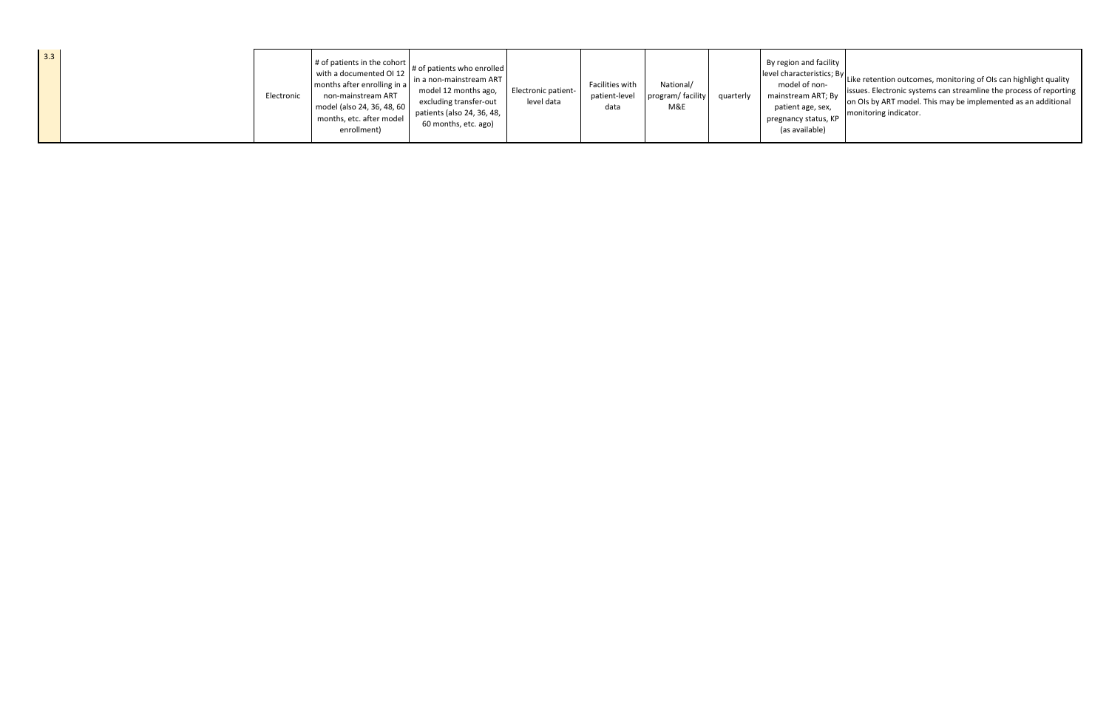| 3.3 |  | Electronic | $\parallel$ # of patients in the cohort $\parallel$<br>with a documented OI 12<br>months after enrolling in a<br>non-mainstream ART<br>model (also 24, 36, 48, 60)<br>months, etc. after model<br>enrollment) | $\check{\phantom{a}}$ # of patients who enrolled<br>l in a non-mainstream ART<br>model 12 months ago,<br>excluding transfer-out<br>patients (also 24, 36, 48,<br>60 months, etc. ago) | <b>Electronic patient-</b><br>level data | Facilities with<br>patient-level<br>data | National/<br>program/facility<br>M&E | quarterly | By region and facility<br>mainstream ART; By<br>patient age, sex,<br>pregnancy status, KP<br>(as available) | $\left  \right $ level characteristics; By $\left  \right $ Like retention outcomes, monitoring of OIs can highlight quality<br>issues. Electronic systems can streamline the process of reporting<br>on Ols by ART model. This may be implemented as an additional<br>monitoring indicator. |
|-----|--|------------|---------------------------------------------------------------------------------------------------------------------------------------------------------------------------------------------------------------|---------------------------------------------------------------------------------------------------------------------------------------------------------------------------------------|------------------------------------------|------------------------------------------|--------------------------------------|-----------|-------------------------------------------------------------------------------------------------------------|----------------------------------------------------------------------------------------------------------------------------------------------------------------------------------------------------------------------------------------------------------------------------------------------|
|-----|--|------------|---------------------------------------------------------------------------------------------------------------------------------------------------------------------------------------------------------------|---------------------------------------------------------------------------------------------------------------------------------------------------------------------------------------|------------------------------------------|------------------------------------------|--------------------------------------|-----------|-------------------------------------------------------------------------------------------------------------|----------------------------------------------------------------------------------------------------------------------------------------------------------------------------------------------------------------------------------------------------------------------------------------------|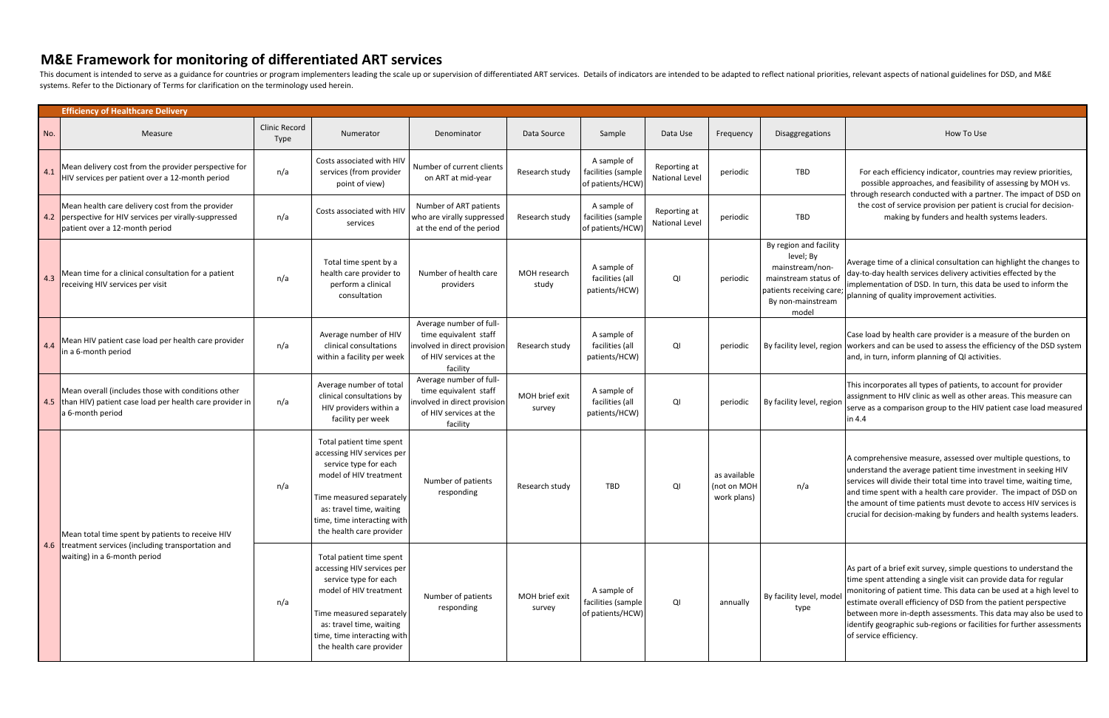|     | <b>Efficiency of Healthcare Delivery</b>                                                                                                      |                       |                                                                                                                                                                                                                              |                                                                                                                       |                          |                                                       |                                       |                                            |                                                                                                                                          |                                                                                                                                                                                                                                                                                                                                                                                                                                                          |
|-----|-----------------------------------------------------------------------------------------------------------------------------------------------|-----------------------|------------------------------------------------------------------------------------------------------------------------------------------------------------------------------------------------------------------------------|-----------------------------------------------------------------------------------------------------------------------|--------------------------|-------------------------------------------------------|---------------------------------------|--------------------------------------------|------------------------------------------------------------------------------------------------------------------------------------------|----------------------------------------------------------------------------------------------------------------------------------------------------------------------------------------------------------------------------------------------------------------------------------------------------------------------------------------------------------------------------------------------------------------------------------------------------------|
| No. | Measure                                                                                                                                       | Clinic Record<br>Type | Numerator                                                                                                                                                                                                                    | Denominator                                                                                                           | Data Source              | Sample                                                | Data Use                              | Frequency                                  | Disaggregations                                                                                                                          | How To Use                                                                                                                                                                                                                                                                                                                                                                                                                                               |
| 4.1 | Mean delivery cost from the provider perspective for<br>HIV services per patient over a 12-month period                                       | n/a                   | Costs associated with HIV<br>services (from provider<br>point of view)                                                                                                                                                       | Number of current clients<br>on ART at mid-year                                                                       | Research study           | A sample of<br>facilities (sample<br>of patients/HCW  | Reporting at<br><b>National Level</b> | periodic                                   | <b>TBD</b>                                                                                                                               | For each efficiency indicator, countries may review priorities,<br>possible approaches, and feasibility of assessing by MOH vs.<br>through research conducted with a partner. The impact of DSD on                                                                                                                                                                                                                                                       |
|     | Mean health care delivery cost from the provider<br>4.2 perspective for HIV services per virally-suppressed<br>patient over a 12-month period | n/a                   | Costs associated with HIV<br>services                                                                                                                                                                                        | Number of ART patients<br>who are virally suppressed<br>at the end of the period                                      | Research study           | A sample of<br>facilities (sample<br>of patients/HCW) | Reporting at<br><b>National Level</b> | periodic                                   | TBD                                                                                                                                      | the cost of service provision per patient is crucial for decision-<br>making by funders and health systems leaders.                                                                                                                                                                                                                                                                                                                                      |
| 4.3 | Mean time for a clinical consultation for a patient<br>receiving HIV services per visit                                                       | n/a                   | Total time spent by a<br>health care provider to<br>perform a clinical<br>consultation                                                                                                                                       | Number of health care<br>providers                                                                                    | MOH research<br>study    | A sample of<br>facilities (all<br>patients/HCW)       | QI                                    | periodic                                   | By region and facility<br>level; By<br>mainstream/non-<br>mainstream status of<br>patients receiving care;<br>By non-mainstream<br>model | Average time of a clinical consultation can highlight the changes to<br>day-to-day health services delivery activities effected by the<br>implementation of DSD. In turn, this data be used to inform the<br>planning of quality improvement activities.                                                                                                                                                                                                 |
| 4.4 | Mean HIV patient case load per health care provider<br>in a 6-month period                                                                    | n/a                   | Average number of HIV<br>clinical consultations<br>within a facility per week                                                                                                                                                | Average number of full-<br>time equivalent staff<br>nvolved in direct provisior<br>of HIV services at the<br>facility | Research study           | A sample of<br>facilities (all<br>patients/HCW)       | QI                                    | periodic                                   |                                                                                                                                          | Case load by health care provider is a measure of the burden on<br>By facility level, region workers and can be used to assess the efficiency of the DSD system<br>and, in turn, inform planning of QI activities.                                                                                                                                                                                                                                       |
|     | Mean overall (includes those with conditions other<br>4.5 than HIV) patient case load per health care provider in<br>a 6-month period         | n/a                   | Average number of total<br>clinical consultations by<br>HIV providers within a<br>facility per week                                                                                                                          | Average number of full-<br>time equivalent staff<br>nvolved in direct provision<br>of HIV services at the<br>facility | MOH brief exit<br>survey | A sample of<br>facilities (all<br>patients/HCW)       | QI                                    | periodic                                   | By facility level, region                                                                                                                | This incorporates all types of patients, to account for provider<br>assignment to HIV clinic as well as other areas. This measure can<br>serve as a comparison group to the HIV patient case load measured<br>in 4.4                                                                                                                                                                                                                                     |
|     | Mean total time spent by patients to receive HIV                                                                                              | n/a                   | Total patient time spent<br>accessing HIV services per<br>service type for each<br>model of HIV treatment<br>Time measured separately<br>as: travel time, waiting<br>time, time interacting with<br>the health care provider | Number of patients<br>responding                                                                                      | Research study           | TBD                                                   | QI                                    | as available<br>(not on MOH<br>work plans) | n/a                                                                                                                                      | A comprehensive measure, assessed over multiple questions, to<br>understand the average patient time investment in seeking HIV<br>services will divide their total time into travel time, waiting time,<br>and time spent with a health care provider. The impact of DSD on<br>the amount of time patients must devote to access HIV services is<br>crucial for decision-making by funders and health systems leaders.                                   |
|     | 4.6 treatment services (including transportation and<br>waiting) in a 6-month period                                                          | n/a                   | Total patient time spent<br>accessing HIV services per<br>service type for each<br>model of HIV treatment<br>Time measured separately<br>as: travel time, waiting<br>time, time interacting with<br>the health care provider | Number of patients<br>responding                                                                                      | MOH brief exit<br>survey | A sample of<br>facilities (sample<br>of patients/HCW) | QI                                    | annually                                   | By facility level, model<br>type                                                                                                         | As part of a brief exit survey, simple questions to understand the<br>time spent attending a single visit can provide data for regular<br>monitoring of patient time. This data can be used at a high level to<br>estimate overall efficiency of DSD from the patient perspective<br>between more in-depth assessments. This data may also be used to<br>identify geographic sub-regions or facilities for further assessments<br>of service efficiency. |